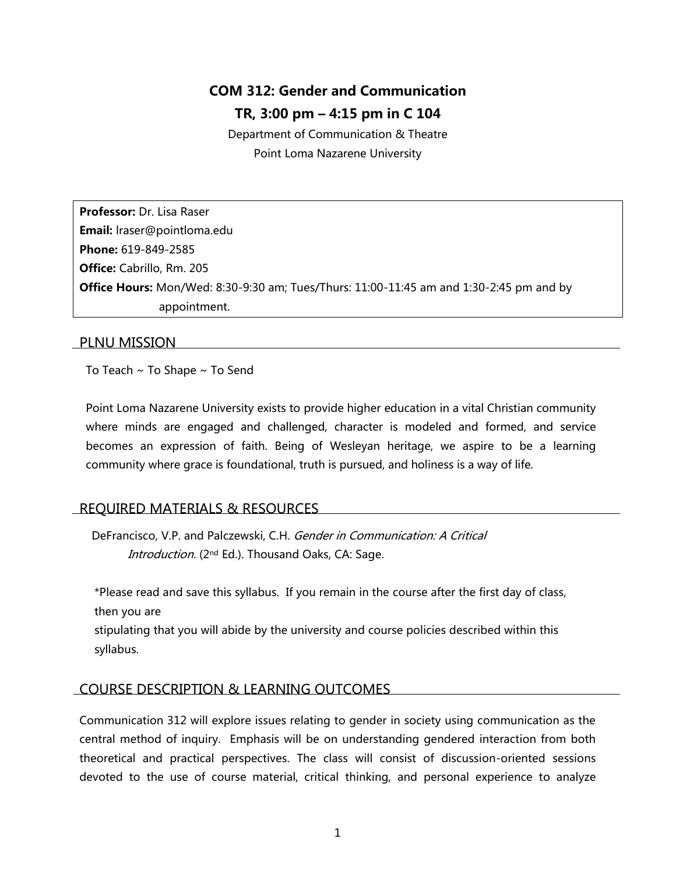# **COM 312: Gender and Communication TR, 3:00 pm – 4:15 pm in C 104**

Department of Communication & Theatre Point Loma Nazarene University

**Professor:** Dr. Lisa Raser **Email:** lraser@pointloma.edu **Phone:** 619-849-2585 **Office:** Cabrillo, Rm. 205 **Office Hours:** Mon/Wed: 8:30-9:30 am; Tues/Thurs: 11:00-11:45 am and 1:30-2:45 pm and by appointment.

## PLNU MISSION

To Teach ~ To Shape ~ To Send

Point Loma Nazarene University exists to provide higher education in a vital Christian community where minds are engaged and challenged, character is modeled and formed, and service becomes an expression of faith. Being of Wesleyan heritage, we aspire to be a learning community where grace is foundational, truth is pursued, and holiness is a way of life.

# REQUIRED MATERIALS & RESOURCES

DeFrancisco, V.P. and Palczewski, C.H. Gender in Communication: A Critical Introduction. (2<sup>nd</sup> Ed.). Thousand Oaks, CA: Sage.

\*Please read and save this syllabus. If you remain in the course after the first day of class, then you are

stipulating that you will abide by the university and course policies described within this syllabus.

# COURSE DESCRIPTION & LEARNING OUTCOMES

Communication 312 will explore issues relating to gender in society using communication as the central method of inquiry. Emphasis will be on understanding gendered interaction from both theoretical and practical perspectives. The class will consist of discussion-oriented sessions devoted to the use of course material, critical thinking, and personal experience to analyze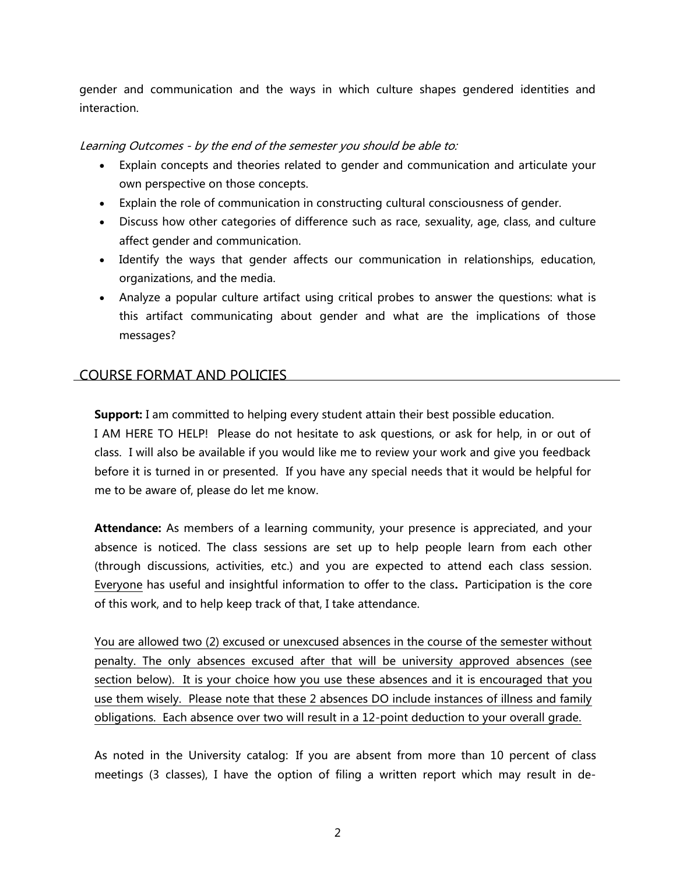gender and communication and the ways in which culture shapes gendered identities and interaction.

### Learning Outcomes - by the end of the semester you should be able to:

- Explain concepts and theories related to gender and communication and articulate your own perspective on those concepts.
- Explain the role of communication in constructing cultural consciousness of gender.
- Discuss how other categories of difference such as race, sexuality, age, class, and culture affect gender and communication.
- Identify the ways that gender affects our communication in relationships, education, organizations, and the media.
- Analyze a popular culture artifact using critical probes to answer the questions: what is this artifact communicating about gender and what are the implications of those messages?

# COURSE FORMAT AND POLICIES

**Support:** I am committed to helping every student attain their best possible education.

I AM HERE TO HELP! Please do not hesitate to ask questions, or ask for help, in or out of class. I will also be available if you would like me to review your work and give you feedback before it is turned in or presented. If you have any special needs that it would be helpful for me to be aware of, please do let me know.

Attendance: As members of a learning community, your presence is appreciated, and your absence is noticed. The class sessions are set up to help people learn from each other (through discussions, activities, etc.) and you are expected to attend each class session. Everyone has useful and insightful information to offer to the class**.** Participation is the core of this work, and to help keep track of that, I take attendance.

You are allowed two (2) excused or unexcused absences in the course of the semester without penalty. The only absences excused after that will be university approved absences (see section below). It is your choice how you use these absences and it is encouraged that you use them wisely. Please note that these 2 absences DO include instances of illness and family obligations. Each absence over two will result in a 12-point deduction to your overall grade.

As noted in the University catalog: If you are absent from more than 10 percent of class meetings (3 classes), I have the option of filing a written report which may result in de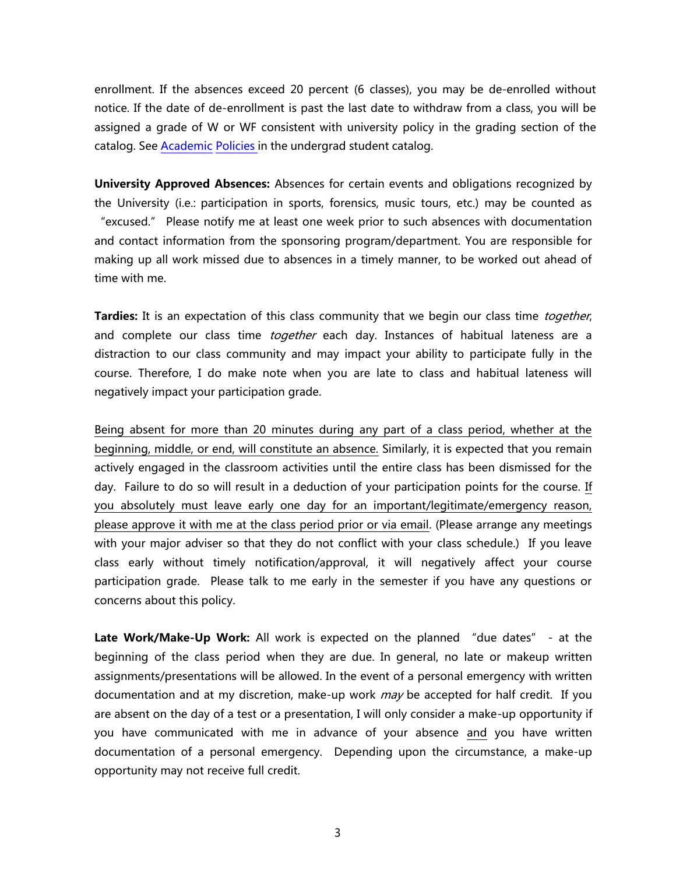enrollment. If the absences exceed 20 percent (6 classes), you may be de-enrolled without notice. If the date of de-enrollment is past the last date to withdraw from a class, you will be assigned a grade of W or WF consistent with university policy in the grading section of the catalog. See [Academic](http://www.pointloma.edu/experience/academics/catalogs/undergraduate-catalog/point-loma-education/academic-policies) [Policies](http://www.pointloma.edu/experience/academics/catalogs/undergraduate-catalog/point-loma-education/academic-policies) in the undergrad student catalog.

**University Approved Absences:** Absences for certain events and obligations recognized by the University (i.e.: participation in sports, forensics, music tours, etc.) may be counted as "excused." Please notify me at least one week prior to such absences with documentation and contact information from the sponsoring program/department. You are responsible for making up all work missed due to absences in a timely manner, to be worked out ahead of time with me.

**Tardies:** It is an expectation of this class community that we begin our class time *together*, and complete our class time *together* each day. Instances of habitual lateness are a distraction to our class community and may impact your ability to participate fully in the course. Therefore, I do make note when you are late to class and habitual lateness will negatively impact your participation grade.

Being absent for more than 20 minutes during any part of a class period, whether at the beginning, middle, or end, will constitute an absence. Similarly, it is expected that you remain actively engaged in the classroom activities until the entire class has been dismissed for the day. Failure to do so will result in a deduction of your participation points for the course. If you absolutely must leave early one day for an important/legitimate/emergency reason, please approve it with me at the class period prior or via email. (Please arrange any meetings with your major adviser so that they do not conflict with your class schedule.) If you leave class early without timely notification/approval, it will negatively affect your course participation grade. Please talk to me early in the semester if you have any questions or concerns about this policy.

**Late Work/Make-Up Work:** All work is expected on the planned "due dates" - at the beginning of the class period when they are due. In general, no late or makeup written assignments/presentations will be allowed. In the event of a personal emergency with written documentation and at my discretion, make-up work *may* be accepted for half credit. If you are absent on the day of a test or a presentation, I will only consider a make-up opportunity if you have communicated with me in advance of your absence and you have written documentation of a personal emergency. Depending upon the circumstance, a make-up opportunity may not receive full credit.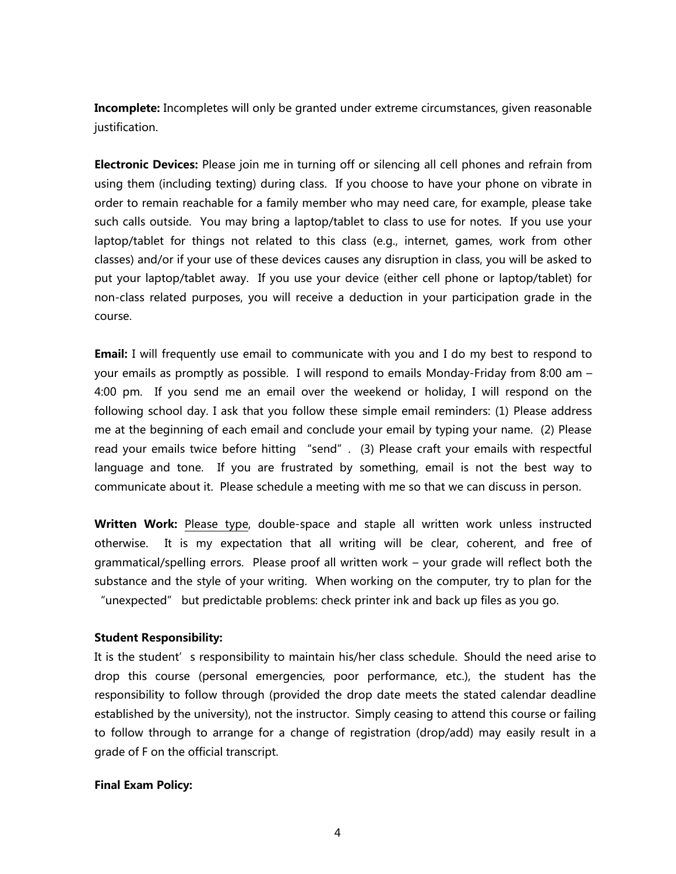**Incomplete:** Incompletes will only be granted under extreme circumstances, given reasonable justification.

**Electronic Devices:** Please join me in turning off or silencing all cell phones and refrain from using them (including texting) during class. If you choose to have your phone on vibrate in order to remain reachable for a family member who may need care, for example, please take such calls outside. You may bring a laptop/tablet to class to use for notes. If you use your laptop/tablet for things not related to this class (e.g., internet, games, work from other classes) and/or if your use of these devices causes any disruption in class, you will be asked to put your laptop/tablet away. If you use your device (either cell phone or laptop/tablet) for non-class related purposes, you will receive a deduction in your participation grade in the course.

**Email:** I will frequently use email to communicate with you and I do my best to respond to your emails as promptly as possible. I will respond to emails Monday-Friday from 8:00 am – 4:00 pm. If you send me an email over the weekend or holiday, I will respond on the following school day. I ask that you follow these simple email reminders: (1) Please address me at the beginning of each email and conclude your email by typing your name. (2) Please read your emails twice before hitting "send". (3) Please craft your emails with respectful language and tone. If you are frustrated by something, email is not the best way to communicate about it. Please schedule a meeting with me so that we can discuss in person.

**Written Work:** Please type, double-space and staple all written work unless instructed otherwise.It is my expectation that all writing will be clear, coherent, and free of grammatical/spelling errors. Please proof all written work – your grade will reflect both the substance and the style of your writing. When working on the computer, try to plan for the "unexpected" but predictable problems: check printer ink and back up files as you go.

#### **Student Responsibility:**

It is the student's responsibility to maintain his/her class schedule. Should the need arise to drop this course (personal emergencies, poor performance, etc.), the student has the responsibility to follow through (provided the drop date meets the stated calendar deadline established by the university), not the instructor. Simply ceasing to attend this course or failing to follow through to arrange for a change of registration (drop/add) may easily result in a grade of F on the official transcript.

## **Final Exam Policy:**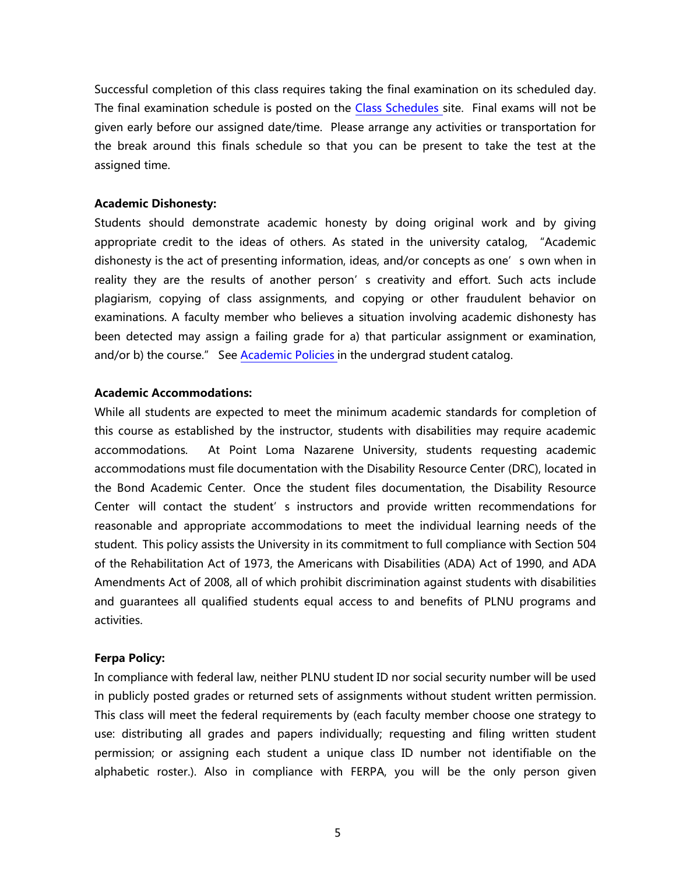Successful completion of this class requires taking the final examination on its scheduled day. The final examination schedule is posted on the Class [Schedules](http://www.pointloma.edu/experience/academics/class-schedules) site. Final exams will not be given early before our assigned date/time. Please arrange any activities or transportation for the break around this finals schedule so that you can be present to take the test at the assigned time.

#### **Academic Dishonesty:**

Students should demonstrate academic honesty by doing original work and by giving appropriate credit to the ideas of others. As stated in the university catalog, "Academic dishonesty is the act of presenting information, ideas, and/or concepts as one's own when in reality they are the results of another person's creativity and effort. Such acts include plagiarism, copying of class assignments, and copying or other fraudulent behavior on examinations. A faculty member who believes a situation involving academic dishonesty has been detected may assign a failing grade for a) that particular assignment or examination, and/or b) the course." See [Academic](http://www.pointloma.edu/experience/academics/catalogs/undergraduate-catalog/point-loma-education/academic-policies) Policies in the undergrad student catalog.

#### **Academic Accommodations:**

While all students are expected to meet the minimum academic standards for completion of this course as established by the instructor, students with disabilities may require academic accommodations. At Point Loma Nazarene University, students requesting academic accommodations must file documentation with the Disability Resource Center (DRC), located in the Bond Academic Center. Once the student files documentation, the Disability Resource Center will contact the student's instructors and provide written recommendations for reasonable and appropriate accommodations to meet the individual learning needs of the student. This policy assists the University in its commitment to full compliance with Section 504 of the Rehabilitation Act of 1973, the Americans with Disabilities (ADA) Act of 1990, and ADA Amendments Act of 2008, all of which prohibit discrimination against students with disabilities and guarantees all qualified students equal access to and benefits of PLNU programs and activities.

#### **Ferpa Policy:**

In compliance with federal law, neither PLNU student ID nor social security number will be used in publicly posted grades or returned sets of assignments without student written permission. This class will meet the federal requirements by (each faculty member choose one strategy to use: distributing all grades and papers individually; requesting and filing written student permission; or assigning each student a unique class ID number not identifiable on the alphabetic roster.). Also in compliance with FERPA, you will be the only person given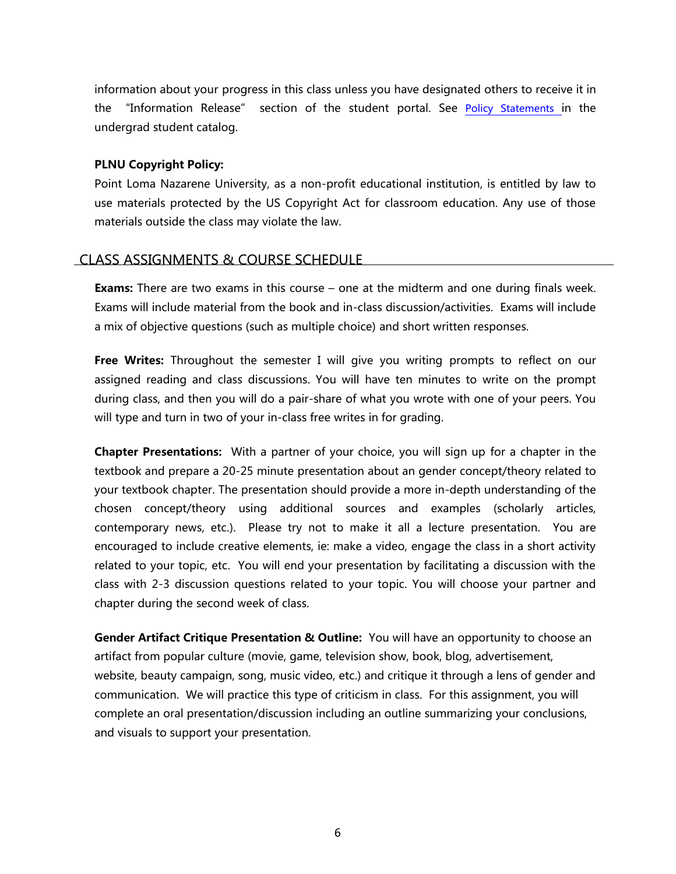information about your progress in this class unless you have designated others to receive it in the "Information Release" section of the student portal. See Policy [Statements](http://www.pointloma.edu/experience/academics/catalogs/undergraduate-catalog/policy-statements) in the undergrad student catalog.

### **PLNU Copyright Policy:**

Point Loma Nazarene University, as a non-profit educational institution, is entitled by law to use materials protected by the US Copyright Act for classroom education. Any use of those materials outside the class may violate the law.

### CLASS ASSIGNMENTS & COURSE SCHEDULE

**Exams:** There are two exams in this course – one at the midterm and one during finals week. Exams will include material from the book and in-class discussion/activities. Exams will include a mix of objective questions (such as multiple choice) and short written responses.

**Free Writes:** Throughout the semester I will give you writing prompts to reflect on our assigned reading and class discussions. You will have ten minutes to write on the prompt during class, and then you will do a pair-share of what you wrote with one of your peers. You will type and turn in two of your in-class free writes in for grading.

**Chapter Presentations:** With a partner of your choice, you will sign up for a chapter in the textbook and prepare a 20-25 minute presentation about an gender concept/theory related to your textbook chapter. The presentation should provide a more in-depth understanding of the chosen concept/theory using additional sources and examples (scholarly articles, contemporary news, etc.). Please try not to make it all a lecture presentation. You are encouraged to include creative elements, ie: make a video, engage the class in a short activity related to your topic, etc. You will end your presentation by facilitating a discussion with the class with 2-3 discussion questions related to your topic. You will choose your partner and chapter during the second week of class.

**Gender Artifact Critique Presentation & Outline:** You will have an opportunity to choose an artifact from popular culture (movie, game, television show, book, blog, advertisement, website, beauty campaign, song, music video, etc.) and critique it through a lens of gender and communication. We will practice this type of criticism in class. For this assignment, you will complete an oral presentation/discussion including an outline summarizing your conclusions, and visuals to support your presentation.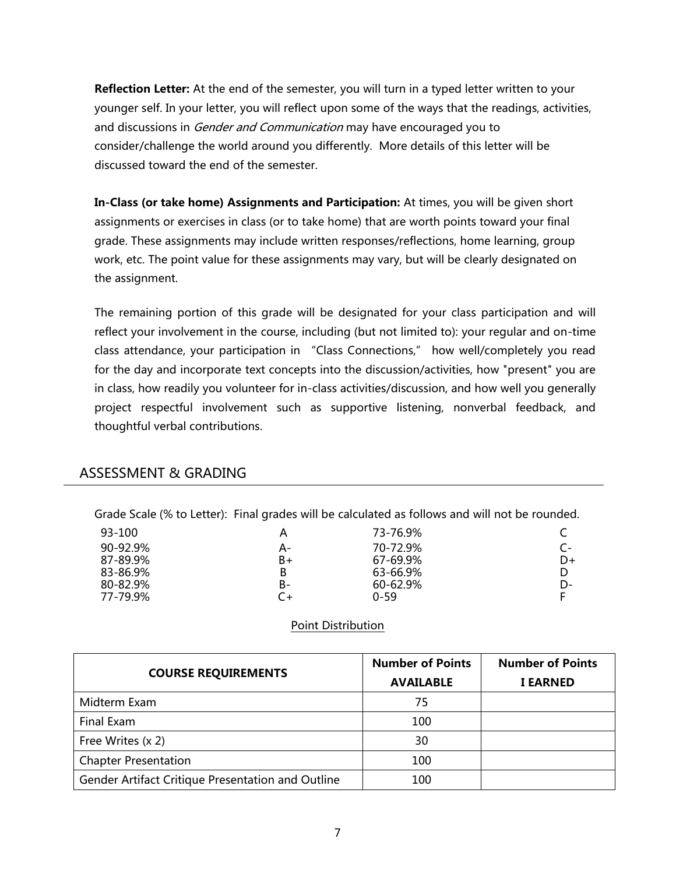**Reflection Letter:** At the end of the semester, you will turn in a typed letter written to your younger self. In your letter, you will reflect upon some of the ways that the readings, activities, and discussions in *Gender and Communication* may have encouraged you to consider/challenge the world around you differently. More details of this letter will be discussed toward the end of the semester.

**In-Class (or take home) Assignments and Participation:** At times, you will be given short assignments or exercises in class (or to take home) that are worth points toward your final grade. These assignments may include written responses/reflections, home learning, group work, etc. The point value for these assignments may vary, but will be clearly designated on the assignment.

The remaining portion of this grade will be designated for your class participation and will reflect your involvement in the course, including (but not limited to): your regular and on-time class attendance, your participation in "Class Connections," how well/completely you read for the day and incorporate text concepts into the discussion/activities, how "present" you are in class, how readily you volunteer for in-class activities/discussion, and how well you generally project respectful involvement such as supportive listening, nonverbal feedback, and thoughtful verbal contributions.

# ASSESSMENT & GRADING

Grade Scale (% to Letter): Final grades will be calculated as follows and will not be rounded.

| 93-100   | А  | 73-76.9%     |    |
|----------|----|--------------|----|
| 90-92.9% | A- | 70-72.9%     |    |
| 87-89.9% | B+ | 67-69.9%     | D+ |
| 83-86.9% | B  | 63-66.9%     |    |
| 80-82.9% | B- | $60 - 62.9%$ | D- |
| 77-79.9% |    | $0 - 59$     |    |

## Point Distribution

|                                                   | <b>Number of Points</b> | <b>Number of Points</b> |
|---------------------------------------------------|-------------------------|-------------------------|
| <b>COURSE REQUIREMENTS</b>                        | <b>AVAILABLE</b>        | <b>I EARNED</b>         |
| Midterm Exam                                      | 75                      |                         |
| Final Exam                                        | 100                     |                         |
| Free Writes (x 2)                                 | 30                      |                         |
| <b>Chapter Presentation</b>                       | 100                     |                         |
| Gender Artifact Critique Presentation and Outline | 100                     |                         |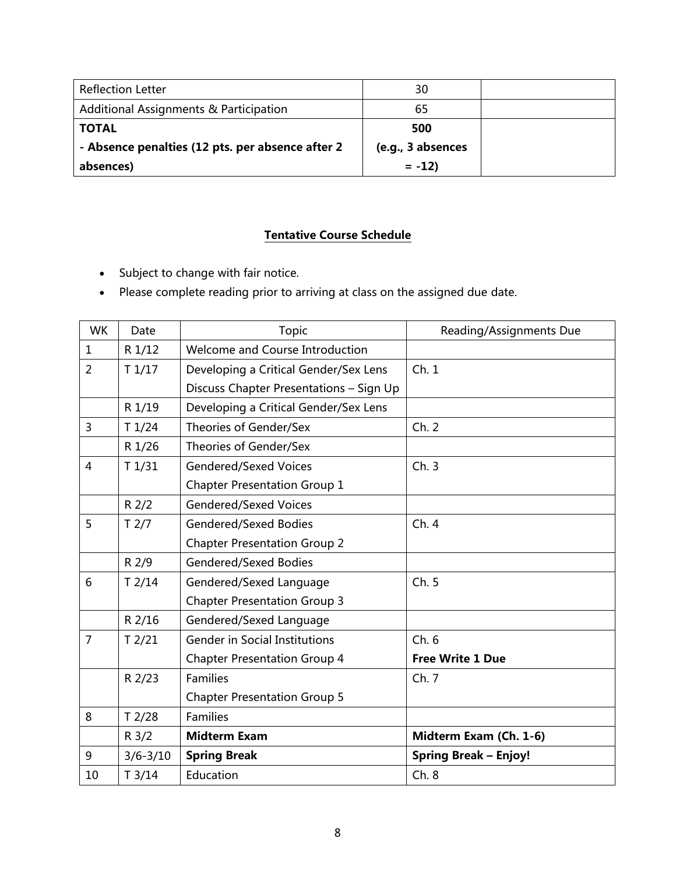| <b>Reflection Letter</b>                          | 30                |  |
|---------------------------------------------------|-------------------|--|
| <b>Additional Assignments &amp; Participation</b> | 65                |  |
| <b>TOTAL</b>                                      | 500               |  |
| - Absence penalties (12 pts. per absence after 2  | (e.g., 3 absences |  |
| absences)                                         | $= -12$           |  |

# **Tentative Course Schedule**

- Subject to change with fair notice.
- Please complete reading prior to arriving at class on the assigned due date.

| <b>WK</b>      | Date              | Topic                                   | Reading/Assignments Due      |
|----------------|-------------------|-----------------------------------------|------------------------------|
| $\mathbf{1}$   | R 1/12            | Welcome and Course Introduction         |                              |
| $\overline{2}$ | T1/17             | Developing a Critical Gender/Sex Lens   | Ch.1                         |
|                |                   | Discuss Chapter Presentations - Sign Up |                              |
|                | R 1/19            | Developing a Critical Gender/Sex Lens   |                              |
| 3              | T1/24             | Theories of Gender/Sex                  | Ch. 2                        |
|                | R 1/26            | Theories of Gender/Sex                  |                              |
| 4              | T1/31             | <b>Gendered/Sexed Voices</b>            | Ch.3                         |
|                |                   | <b>Chapter Presentation Group 1</b>     |                              |
|                | R 2/2             | <b>Gendered/Sexed Voices</b>            |                              |
| 5              | T <sub>2/7</sub>  | Gendered/Sexed Bodies                   | Ch.4                         |
|                |                   | <b>Chapter Presentation Group 2</b>     |                              |
|                | R 2/9             | <b>Gendered/Sexed Bodies</b>            |                              |
| 6              | $T$ 2/14          | Gendered/Sexed Language                 | Ch. 5                        |
|                |                   | <b>Chapter Presentation Group 3</b>     |                              |
|                | R 2/16            | Gendered/Sexed Language                 |                              |
| 7              | T <sub>2/21</sub> | <b>Gender in Social Institutions</b>    | Ch.6                         |
|                |                   | <b>Chapter Presentation Group 4</b>     | <b>Free Write 1 Due</b>      |
|                | R 2/23            | <b>Families</b>                         | Ch.7                         |
|                |                   | <b>Chapter Presentation Group 5</b>     |                              |
| 8              | $T$ 2/28          | Families                                |                              |
|                | $R$ 3/2           | <b>Midterm Exam</b>                     | Midterm Exam (Ch. 1-6)       |
| 9              | $3/6 - 3/10$      | <b>Spring Break</b>                     | <b>Spring Break - Enjoy!</b> |
| 10             | T3/14             | Education                               | Ch. 8                        |